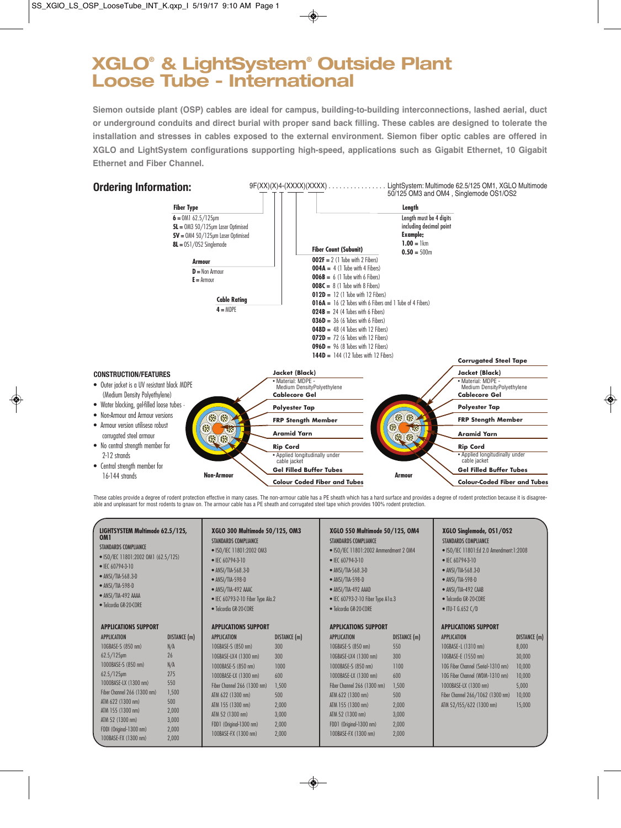# **XGLO® & LightSystem® Outside Plant Loose Tube - International**

**Siemon outside plant (OSP) cables are ideal for campus, building-to-building interconnections, lashed aerial, duct or underground conduits and direct burial with proper sand back filling. These cables are designed to tolerate the installation and stresses in cables exposed to the external environment. Siemon fiber optic cables are offered in XGLO and LightSystem configurations supporting high-speed, applications such as Gigabit Ethernet, 10 Gigabit Ethernet and Fiber Channel.**



These cables provide a degree of rodent protection effective in many cases. The non-armour cable has a PE sheath which has a hard surface and provides a degree of rodent protection because it is disagreeable and unpleasant for most rodents to gnaw on. The armour cable has a PE sheath and corrugated steel tape which provides 100% rodent protection.

| <b>STANDARDS COMPLIANCE</b><br>• ISO/IEC 11801:2002 OM1 (62.5/125)<br>• IEC 60794-3-10<br>• ANSI/TIA-568.3-D<br>• ANSI/TIA-598-D<br>• ANSI/TIA-492 AAAA<br>· Telcordia GR-20-CORE<br><b>APPLICATIONS SUPPORT</b> |                | JIMIYUMNUJ LUIYII LIMIYLL<br>• ISO/IEC 11801:2002 OM3<br>• IEC 60794-3-10<br>• ANSI/TIA-568.3-D<br>• ANSI/TIA-598-D<br>• ANSI/TIA-492 AAAC<br>$\bullet$ IEC 60793-2-10 Fiber Type Ala.2<br>· Telcordia GR-20-CORE<br><b>APPLICATIONS SUPPORT</b> | JIMIVUMNUJ LUMI LIMI<br>• ISO/IEC 11801:200<br>• IEC 60794-3-10<br>• ANSI/TIA-568.3-D<br>$\bullet$ ANSI/TIA-598-D<br>· ANSI/TIA-492 AAAD<br>• IEC 60793-2-10 Fib<br>· Telcordia GR-20-CORI<br><b>APPLICATIONS SU</b> |                       |
|------------------------------------------------------------------------------------------------------------------------------------------------------------------------------------------------------------------|----------------|--------------------------------------------------------------------------------------------------------------------------------------------------------------------------------------------------------------------------------------------------|----------------------------------------------------------------------------------------------------------------------------------------------------------------------------------------------------------------------|-----------------------|
| <b>APPLICATION</b>                                                                                                                                                                                               | DISTANCE (m)   | <b>APPLICATION</b>                                                                                                                                                                                                                               | DISTANCE (m)                                                                                                                                                                                                         | <b>APPLICATION</b>    |
| 10GBASE-S (850 nm)                                                                                                                                                                                               | N/A            | 10GBASE-S (850 nm)                                                                                                                                                                                                                               | 300                                                                                                                                                                                                                  | 10GBASE-S (850 nm)    |
| $62.5/125$ µm                                                                                                                                                                                                    | 26             | 10GBASE-LX4 (1300 nm)                                                                                                                                                                                                                            | 300                                                                                                                                                                                                                  | 10GBASE-LX4 (1300)    |
| 1000BASE-S (850 nm)                                                                                                                                                                                              | N/A            | 1000BASE-S (850 nm)                                                                                                                                                                                                                              | 1000                                                                                                                                                                                                                 | 1000BASE-S (850 nm    |
| $62.5/125$ µm                                                                                                                                                                                                    | 275            | 1000BASE-LX (1300 nm)                                                                                                                                                                                                                            | 600                                                                                                                                                                                                                  | 1000BASE-LX (1300)    |
| 1000BASE-LX (1300 nm)                                                                                                                                                                                            | 550            | Fiber Channel 266 (1300 nm)                                                                                                                                                                                                                      | 1,500                                                                                                                                                                                                                | Fiber Channel 266 (13 |
| Fiber Channel 266 (1300 nm)                                                                                                                                                                                      | 1,500          | ATM 622 (1300 nm)                                                                                                                                                                                                                                | 500                                                                                                                                                                                                                  | ATM 622 (1300 nm)     |
| ATM 622 (1300 nm)                                                                                                                                                                                                | 500            | ATM 155 (1300 nm)                                                                                                                                                                                                                                | 2,000                                                                                                                                                                                                                | ATM 155 (1300 nm)     |
| ATM 155 (1300 nm)                                                                                                                                                                                                | 2,000          | ATM 52 (1300 nm)                                                                                                                                                                                                                                 | 3,000                                                                                                                                                                                                                | ATM 52 (1300 nm)      |
| ATM 52 (1300 nm)<br>FDDI (Original-1300 nm)                                                                                                                                                                      | 3,000<br>2,000 | FDD1 (Original-1300 nm)                                                                                                                                                                                                                          | 2,000                                                                                                                                                                                                                | FDD1 (Original-1300 r |
|                                                                                                                                                                                                                  |                | 100BASE-EX (1300 nm)                                                                                                                                                                                                                             | 2.000                                                                                                                                                                                                                | 100BASE-FX (1300 n    |

STANDARDS COMPLIANCE

**LIGHTSYSTEM Multimode 62.5/125,**

100BASE-FX (1300 nm) 2,000

**OM1**

**XGLO 300 Multimode 50/125, OM3** 

#### **XGLO 550 Multimode 50/125, OM4 CTANDARDS COMPLIANCE**

- er<br>12 Ammendment 2 OM4
- 
- 
- er Type A1a.3
- Telcordia GR-20-CORE

### **APPLICATIONS SUPPORT**

| <b>APPLICATION</b>          | DISTANCE (m) |
|-----------------------------|--------------|
| 10GBASE-S (850 nm)          | 550          |
| 10GBASE-LX4 (1300 nm)       | 300          |
| 1000BASE-S (850 nm)         | 1100         |
| 1000BASE-LX (1300 nm)       | 600          |
| Fiber Channel 266 (1300 nm) | 1.500        |
| ATM 622 (1300 nm)           | 500          |
| ATM 155 (1300 nm)           | 2.000        |
| ATM 52 (1300 nm)            | 3.000        |
| FDD1 (Original-1300 nm)     | 2.000        |
| 100BASE-FX (1300 nm)        | 2.000        |

#### **XGLO Singlemode, OS1/OS2** STANDARDS COMPLIANCE

- ISO/IEC 11801:Ed 2.0 Amendment:1:2008
- IEC 60794-3-10
- ANSI/TIA-568.3-D
- ANSI/TIA-598-D
- $\bullet$  ANSI/TIA-492 CAAB
- Telcordia GR-20-CORE
- ITU-T G.652 C/D

### **APPLICATIONS SUPPORT**

| <b>APPLICATION</b>                 | DISTANCE (m) |
|------------------------------------|--------------|
| 10GBASE-L (1310 nm)                | 8,000        |
| 10GBASE-E (1550 nm)                | 30,000       |
| 10G Fiber Channel (Serial-1310 nm) | 10.000       |
| 10G Fiber Channel (WDM-1310 nm)    | 10.000       |
| 1000BASE-LX (1300 nm)              | 5,000        |
| Fiber Channel 266/1062 (1300 nm)   | 10.000       |
| ATM 52/155/622 (1300 nm)           | 15,000       |
|                                    |              |